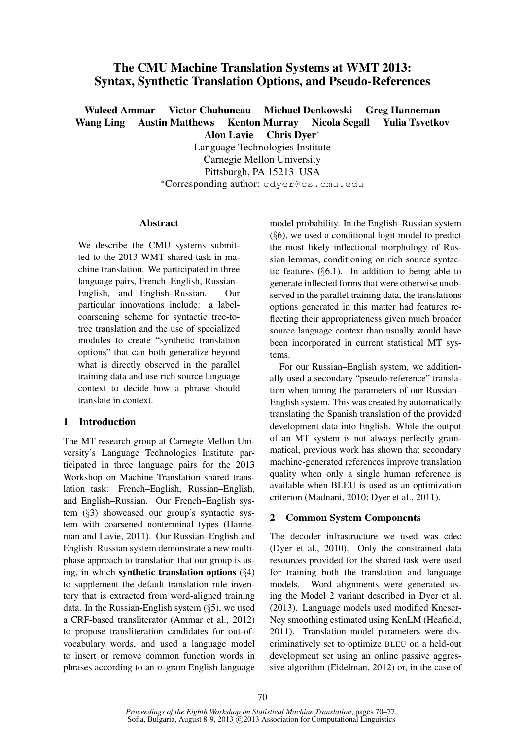# The CMU Machine Translation Systems at WMT 2013: Syntax, Synthetic Translation Options, and Pseudo-References

Waleed Ammar Victor Chahuneau Michael Denkowski Greg Hanneman Wang Ling Austin Matthews Kenton Murray Nicola Segall Yulia Tsvetkov Alon Lavie Chris Dyer<sup>∗</sup>

> Language Technologies Institute Carnegie Mellon University Pittsburgh, PA 15213 USA <sup>∗</sup>Corresponding author: cdyer@cs.cmu.edu

### Abstract

We describe the CMU systems submitted to the 2013 WMT shared task in machine translation. We participated in three language pairs, French–English, Russian– English, and English–Russian. Our particular innovations include: a labelcoarsening scheme for syntactic tree-totree translation and the use of specialized modules to create "synthetic translation options" that can both generalize beyond what is directly observed in the parallel training data and use rich source language context to decide how a phrase should translate in context.

# 1 Introduction

The MT research group at Carnegie Mellon University's Language Technologies Institute participated in three language pairs for the 2013 Workshop on Machine Translation shared translation task: French–English, Russian–English, and English–Russian. Our French–English system (§3) showcased our group's syntactic system with coarsened nonterminal types (Hanneman and Lavie, 2011). Our Russian–English and English–Russian system demonstrate a new multiphase approach to translation that our group is using, in which synthetic translation options  $(\S4)$ to supplement the default translation rule inventory that is extracted from word-aligned training data. In the Russian-English system (§5), we used a CRF-based transliterator (Ammar et al., 2012) to propose transliteration candidates for out-ofvocabulary words, and used a language model to insert or remove common function words in phrases according to an  $n$ -gram English language model probability. In the English–Russian system (§6), we used a conditional logit model to predict the most likely inflectional morphology of Russian lemmas, conditioning on rich source syntactic features (§6.1). In addition to being able to generate inflected forms that were otherwise unobserved in the parallel training data, the translations options generated in this matter had features reflecting their appropriateness given much broader source language context than usually would have been incorporated in current statistical MT systems.

For our Russian–English system, we additionally used a secondary "pseudo-reference" translation when tuning the parameters of our Russian– English system. This was created by automatically translating the Spanish translation of the provided development data into English. While the output of an MT system is not always perfectly grammatical, previous work has shown that secondary machine-generated references improve translation quality when only a single human reference is available when BLEU is used as an optimization criterion (Madnani, 2010; Dyer et al., 2011).

### 2 Common System Components

The decoder infrastructure we used was cdec (Dyer et al., 2010). Only the constrained data resources provided for the shared task were used for training both the translation and language models. Word alignments were generated using the Model 2 variant described in Dyer et al. (2013). Language models used modified Kneser-Ney smoothing estimated using KenLM (Heafield, 2011). Translation model parameters were discriminatively set to optimize BLEU on a held-out development set using an online passive aggressive algorithm (Eidelman, 2012) or, in the case of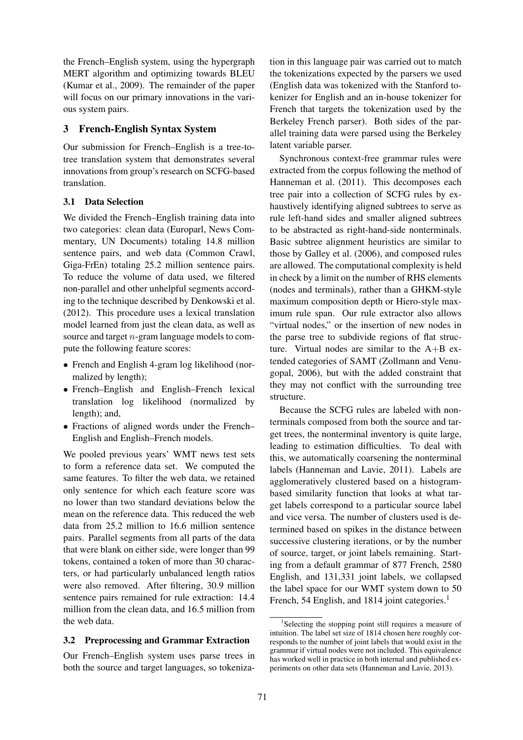the French–English system, using the hypergraph MERT algorithm and optimizing towards BLEU (Kumar et al., 2009). The remainder of the paper will focus on our primary innovations in the various system pairs.

# 3 French-English Syntax System

Our submission for French–English is a tree-totree translation system that demonstrates several innovations from group's research on SCFG-based translation.

# 3.1 Data Selection

We divided the French–English training data into two categories: clean data (Europarl, News Commentary, UN Documents) totaling 14.8 million sentence pairs, and web data (Common Crawl, Giga-FrEn) totaling 25.2 million sentence pairs. To reduce the volume of data used, we filtered non-parallel and other unhelpful segments according to the technique described by Denkowski et al. (2012). This procedure uses a lexical translation model learned from just the clean data, as well as source and target n-gram language models to compute the following feature scores:

- French and English 4-gram log likelihood (normalized by length);
- French–English and English–French lexical translation log likelihood (normalized by length); and,
- Fractions of aligned words under the French– English and English–French models.

We pooled previous years' WMT news test sets to form a reference data set. We computed the same features. To filter the web data, we retained only sentence for which each feature score was no lower than two standard deviations below the mean on the reference data. This reduced the web data from 25.2 million to 16.6 million sentence pairs. Parallel segments from all parts of the data that were blank on either side, were longer than 99 tokens, contained a token of more than 30 characters, or had particularly unbalanced length ratios were also removed. After filtering, 30.9 million sentence pairs remained for rule extraction: 14.4 million from the clean data, and 16.5 million from the web data.

## 3.2 Preprocessing and Grammar Extraction

Our French–English system uses parse trees in both the source and target languages, so tokenization in this language pair was carried out to match the tokenizations expected by the parsers we used (English data was tokenized with the Stanford tokenizer for English and an in-house tokenizer for French that targets the tokenization used by the Berkeley French parser). Both sides of the parallel training data were parsed using the Berkeley latent variable parser.

Synchronous context-free grammar rules were extracted from the corpus following the method of Hanneman et al. (2011). This decomposes each tree pair into a collection of SCFG rules by exhaustively identifying aligned subtrees to serve as rule left-hand sides and smaller aligned subtrees to be abstracted as right-hand-side nonterminals. Basic subtree alignment heuristics are similar to those by Galley et al. (2006), and composed rules are allowed. The computational complexity is held in check by a limit on the number of RHS elements (nodes and terminals), rather than a GHKM-style maximum composition depth or Hiero-style maximum rule span. Our rule extractor also allows "virtual nodes," or the insertion of new nodes in the parse tree to subdivide regions of flat structure. Virtual nodes are similar to the A+B extended categories of SAMT (Zollmann and Venugopal, 2006), but with the added constraint that they may not conflict with the surrounding tree structure.

Because the SCFG rules are labeled with nonterminals composed from both the source and target trees, the nonterminal inventory is quite large, leading to estimation difficulties. To deal with this, we automatically coarsening the nonterminal labels (Hanneman and Lavie, 2011). Labels are agglomeratively clustered based on a histogrambased similarity function that looks at what target labels correspond to a particular source label and vice versa. The number of clusters used is determined based on spikes in the distance between successive clustering iterations, or by the number of source, target, or joint labels remaining. Starting from a default grammar of 877 French, 2580 English, and 131,331 joint labels, we collapsed the label space for our WMT system down to 50 French, 54 English, and 1814 joint categories.<sup>1</sup>

<sup>&</sup>lt;sup>1</sup>Selecting the stopping point still requires a measure of intuition. The label set size of 1814 chosen here roughly corresponds to the number of joint labels that would exist in the grammar if virtual nodes were not included. This equivalence has worked well in practice in both internal and published experiments on other data sets (Hanneman and Lavie, 2013).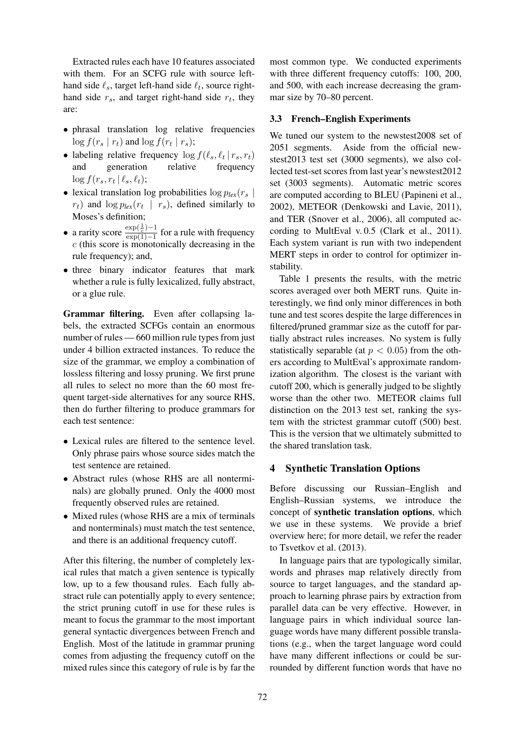Extracted rules each have 10 features associated with them. For an SCFG rule with source lefthand side  $\ell_s$ , target left-hand side  $\ell_t$ , source righthand side  $r_s$ , and target right-hand side  $r_t$ , they are:

- phrasal translation log relative frequencies  $\log f(r_s \mid r_t)$  and  $\log f(r_t \mid r_s);$
- labeling relative frequency  $\log f(\ell_s, \ell_t | r_s, r_t)$ and generation relative frequency  $\log f(r_s, r_t | \ell_s, \ell_t);$
- lexical translation log probabilities  $\log p_{lex}(r_s)$  $r_t$ ) and  $\log p_{lex}(r_t \mid r_s)$ , defined similarly to Moses's definition;
- a rarity score  $\frac{\exp(\frac{1}{c})-1}{\exp(1)-1}$  $\frac{\exp(\frac{c}{c})^{-1}}{\exp(1)-1}$  for a rule with frequency  $c$  (this score is monotonically decreasing in the rule frequency); and,
- three binary indicator features that mark whether a rule is fully lexicalized, fully abstract, or a glue rule.

Grammar filtering. Even after collapsing labels, the extracted SCFGs contain an enormous number of rules — 660 million rule types from just under 4 billion extracted instances. To reduce the size of the grammar, we employ a combination of lossless filtering and lossy pruning. We first prune all rules to select no more than the 60 most frequent target-side alternatives for any source RHS, then do further filtering to produce grammars for each test sentence:

- Lexical rules are filtered to the sentence level. Only phrase pairs whose source sides match the test sentence are retained.
- Abstract rules (whose RHS are all nonterminals) are globally pruned. Only the 4000 most frequently observed rules are retained.
- Mixed rules (whose RHS are a mix of terminals and nonterminals) must match the test sentence, and there is an additional frequency cutoff.

After this filtering, the number of completely lexical rules that match a given sentence is typically low, up to a few thousand rules. Each fully abstract rule can potentially apply to every sentence; the strict pruning cutoff in use for these rules is meant to focus the grammar to the most important general syntactic divergences between French and English. Most of the latitude in grammar pruning comes from adjusting the frequency cutoff on the mixed rules since this category of rule is by far the

most common type. We conducted experiments with three different frequency cutoffs: 100, 200, and 500, with each increase decreasing the grammar size by 70–80 percent.

### 3.3 French–English Experiments

We tuned our system to the newstest2008 set of 2051 segments. Aside from the official newstest2013 test set (3000 segments), we also collected test-set scores from last year's newstest2012 set (3003 segments). Automatic metric scores are computed according to BLEU (Papineni et al., 2002), METEOR (Denkowski and Lavie, 2011), and TER (Snover et al., 2006), all computed according to MultEval v. 0.5 (Clark et al., 2011). Each system variant is run with two independent MERT steps in order to control for optimizer instability.

Table 1 presents the results, with the metric scores averaged over both MERT runs. Quite interestingly, we find only minor differences in both tune and test scores despite the large differences in filtered/pruned grammar size as the cutoff for partially abstract rules increases. No system is fully statistically separable (at  $p < 0.05$ ) from the others according to MultEval's approximate randomization algorithm. The closest is the variant with cutoff 200, which is generally judged to be slightly worse than the other two. METEOR claims full distinction on the 2013 test set, ranking the system with the strictest grammar cutoff (500) best. This is the version that we ultimately submitted to the shared translation task.

## 4 Synthetic Translation Options

Before discussing our Russian–English and English–Russian systems, we introduce the concept of synthetic translation options, which we use in these systems. We provide a brief overview here; for more detail, we refer the reader to Tsvetkov et al. (2013).

In language pairs that are typologically similar, words and phrases map relatively directly from source to target languages, and the standard approach to learning phrase pairs by extraction from parallel data can be very effective. However, in language pairs in which individual source language words have many different possible translations (e.g., when the target language word could have many different inflections or could be surrounded by different function words that have no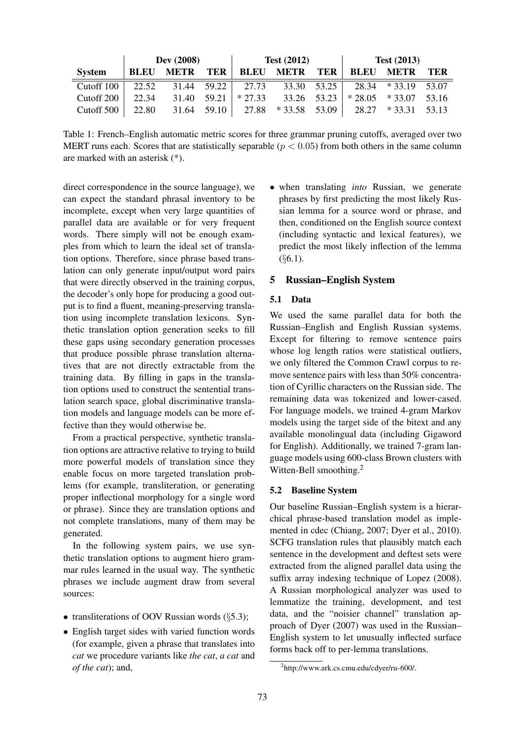|               | Dev (2008)  |             |             | <b>Test (2012)</b> |             |             | <b>Test</b> $(2013)$ |             |       |
|---------------|-------------|-------------|-------------|--------------------|-------------|-------------|----------------------|-------------|-------|
| <b>System</b> | <b>BLEU</b> | <b>METR</b> | <b>TER</b>  | <b>BLEU</b>        | <b>METR</b> | <b>TER</b>  | <b>BLEU</b>          | <b>METR</b> | TER   |
| Cutoff 100    | 22.52       |             | 31.44 59.22 | 27.73              |             | 33.30 53.25 | 28.34                | $*33.19$    | 53.07 |
| Cutoff 200    | 22.34       | 31.40       | 59.21       | $*27.33$           | 33.26 53.23 |             | $*28.05$             | $*$ 33.07   | 53.16 |
| Cutoff 500    | 22.80       | 31.64       | 59.10       | 27.88              | $*33.58$    | 53.09       | 28.27                | $* 3331$    | 53.13 |

Table 1: French–English automatic metric scores for three grammar pruning cutoffs, averaged over two MERT runs each. Scores that are statistically separable ( $p < 0.05$ ) from both others in the same column are marked with an asterisk (\*).

direct correspondence in the source language), we can expect the standard phrasal inventory to be incomplete, except when very large quantities of parallel data are available or for very frequent words. There simply will not be enough examples from which to learn the ideal set of translation options. Therefore, since phrase based translation can only generate input/output word pairs that were directly observed in the training corpus, the decoder's only hope for producing a good output is to find a fluent, meaning-preserving translation using incomplete translation lexicons. Synthetic translation option generation seeks to fill these gaps using secondary generation processes that produce possible phrase translation alternatives that are not directly extractable from the training data. By filling in gaps in the translation options used to construct the sentential translation search space, global discriminative translation models and language models can be more effective than they would otherwise be.

From a practical perspective, synthetic translation options are attractive relative to trying to build more powerful models of translation since they enable focus on more targeted translation problems (for example, transliteration, or generating proper inflectional morphology for a single word or phrase). Since they are translation options and not complete translations, many of them may be generated.

In the following system pairs, we use synthetic translation options to augment hiero grammar rules learned in the usual way. The synthetic phrases we include augment draw from several sources:

- transliterations of OOV Russian words  $(\S 5.3);$
- English target sides with varied function words (for example, given a phrase that translates into *cat* we procedure variants like *the cat*, *a cat* and *of the cat*); and,

• when translating *into* Russian, we generate phrases by first predicting the most likely Russian lemma for a source word or phrase, and then, conditioned on the English source context (including syntactic and lexical features), we predict the most likely inflection of the lemma  $($ §6.1).

### 5 Russian–English System

### 5.1 Data

We used the same parallel data for both the Russian–English and English Russian systems. Except for filtering to remove sentence pairs whose log length ratios were statistical outliers, we only filtered the Common Crawl corpus to remove sentence pairs with less than 50% concentration of Cyrillic characters on the Russian side. The remaining data was tokenized and lower-cased. For language models, we trained 4-gram Markov models using the target side of the bitext and any available monolingual data (including Gigaword for English). Additionally, we trained 7-gram language models using 600-class Brown clusters with Witten-Bell smoothing.<sup>2</sup>

### 5.2 Baseline System

Our baseline Russian–English system is a hierarchical phrase-based translation model as implemented in cdec (Chiang, 2007; Dyer et al., 2010). SCFG translation rules that plausibly match each sentence in the development and deftest sets were extracted from the aligned parallel data using the suffix array indexing technique of Lopez (2008). A Russian morphological analyzer was used to lemmatize the training, development, and test data, and the "noisier channel" translation approach of Dyer (2007) was used in the Russian– English system to let unusually inflected surface forms back off to per-lemma translations.

<sup>2</sup> http://www.ark.cs.cmu.edu/cdyer/ru-600/.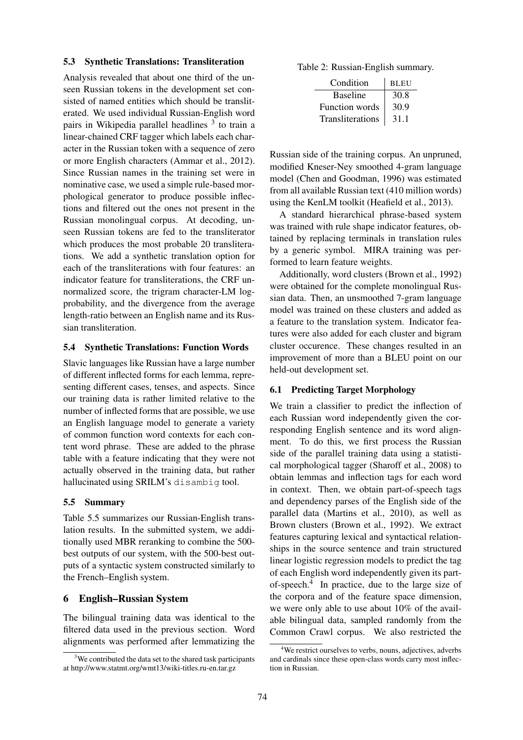### 5.3 Synthetic Translations: Transliteration

Analysis revealed that about one third of the unseen Russian tokens in the development set consisted of named entities which should be transliterated. We used individual Russian-English word pairs in Wikipedia parallel headlines <sup>3</sup> to train a linear-chained CRF tagger which labels each character in the Russian token with a sequence of zero or more English characters (Ammar et al., 2012). Since Russian names in the training set were in nominative case, we used a simple rule-based morphological generator to produce possible inflections and filtered out the ones not present in the Russian monolingual corpus. At decoding, unseen Russian tokens are fed to the transliterator which produces the most probable 20 transliterations. We add a synthetic translation option for each of the transliterations with four features: an indicator feature for transliterations, the CRF unnormalized score, the trigram character-LM logprobability, and the divergence from the average length-ratio between an English name and its Russian transliteration.

#### 5.4 Synthetic Translations: Function Words

Slavic languages like Russian have a large number of different inflected forms for each lemma, representing different cases, tenses, and aspects. Since our training data is rather limited relative to the number of inflected forms that are possible, we use an English language model to generate a variety of common function word contexts for each content word phrase. These are added to the phrase table with a feature indicating that they were not actually observed in the training data, but rather hallucinated using SRILM's disambig tool.

#### 5.5 Summary

Table 5.5 summarizes our Russian-English translation results. In the submitted system, we additionally used MBR reranking to combine the 500 best outputs of our system, with the 500-best outputs of a syntactic system constructed similarly to the French–English system.

#### 6 English–Russian System

The bilingual training data was identical to the filtered data used in the previous section. Word alignments was performed after lemmatizing the

Table 2: Russian-English summary.

| Condition        | <b>BLEU</b> |  |  |
|------------------|-------------|--|--|
| <b>Baseline</b>  | 30.8        |  |  |
| Function words   | 30.9        |  |  |
| Transliterations | 31.1        |  |  |

Russian side of the training corpus. An unpruned, modified Kneser-Ney smoothed 4-gram language model (Chen and Goodman, 1996) was estimated from all available Russian text (410 million words) using the KenLM toolkit (Heafield et al., 2013).

A standard hierarchical phrase-based system was trained with rule shape indicator features, obtained by replacing terminals in translation rules by a generic symbol. MIRA training was performed to learn feature weights.

Additionally, word clusters (Brown et al., 1992) were obtained for the complete monolingual Russian data. Then, an unsmoothed 7-gram language model was trained on these clusters and added as a feature to the translation system. Indicator features were also added for each cluster and bigram cluster occurence. These changes resulted in an improvement of more than a BLEU point on our held-out development set.

#### 6.1 Predicting Target Morphology

We train a classifier to predict the inflection of each Russian word independently given the corresponding English sentence and its word alignment. To do this, we first process the Russian side of the parallel training data using a statistical morphological tagger (Sharoff et al., 2008) to obtain lemmas and inflection tags for each word in context. Then, we obtain part-of-speech tags and dependency parses of the English side of the parallel data (Martins et al., 2010), as well as Brown clusters (Brown et al., 1992). We extract features capturing lexical and syntactical relationships in the source sentence and train structured linear logistic regression models to predict the tag of each English word independently given its partof-speech.<sup>4</sup> In practice, due to the large size of the corpora and of the feature space dimension, we were only able to use about 10% of the available bilingual data, sampled randomly from the Common Crawl corpus. We also restricted the

 $3$ We contributed the data set to the shared task participants at http://www.statmt.org/wmt13/wiki-titles.ru-en.tar.gz

<sup>&</sup>lt;sup>4</sup>We restrict ourselves to verbs, nouns, adjectives, adverbs and cardinals since these open-class words carry most inflection in Russian.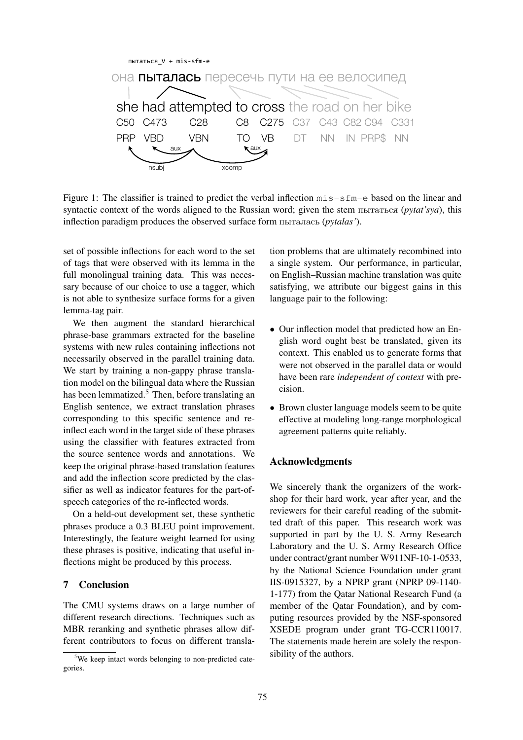

Figure 1: The classifier is trained to predict the verbal inflection  $m$  is  $-s$  fm-e based on the linear and syntactic context of the words aligned to the Russian word; given the stem пытаться (*pytat'sya*), this inflection paradigm produces the observed surface form пыталась (*pytalas'*).

set of possible inflections for each word to the set of tags that were observed with its lemma in the full monolingual training data. This was necessary because of our choice to use a tagger, which is not able to synthesize surface forms for a given lemma-tag pair.

We then augment the standard hierarchical phrase-base grammars extracted for the baseline systems with new rules containing inflections not necessarily observed in the parallel training data. We start by training a non-gappy phrase translation model on the bilingual data where the Russian has been lemmatized.<sup>5</sup> Then, before translating an English sentence, we extract translation phrases corresponding to this specific sentence and reinflect each word in the target side of these phrases using the classifier with features extracted from the source sentence words and annotations. We keep the original phrase-based translation features and add the inflection score predicted by the classifier as well as indicator features for the part-ofspeech categories of the re-inflected words.

On a held-out development set, these synthetic phrases produce a 0.3 BLEU point improvement. Interestingly, the feature weight learned for using these phrases is positive, indicating that useful inflections might be produced by this process.

# 7 Conclusion

The CMU systems draws on a large number of different research directions. Techniques such as MBR reranking and synthetic phrases allow different contributors to focus on different translation problems that are ultimately recombined into a single system. Our performance, in particular, on English–Russian machine translation was quite satisfying, we attribute our biggest gains in this language pair to the following:

- Our inflection model that predicted how an English word ought best be translated, given its context. This enabled us to generate forms that were not observed in the parallel data or would have been rare *independent of context* with precision.
- Brown cluster language models seem to be quite effective at modeling long-range morphological agreement patterns quite reliably.

### Acknowledgments

We sincerely thank the organizers of the workshop for their hard work, year after year, and the reviewers for their careful reading of the submitted draft of this paper. This research work was supported in part by the U. S. Army Research Laboratory and the U. S. Army Research Office under contract/grant number W911NF-10-1-0533, by the National Science Foundation under grant IIS-0915327, by a NPRP grant (NPRP 09-1140- 1-177) from the Qatar National Research Fund (a member of the Qatar Foundation), and by computing resources provided by the NSF-sponsored XSEDE program under grant TG-CCR110017. The statements made herein are solely the responsibility of the authors.

<sup>5</sup>We keep intact words belonging to non-predicted categories.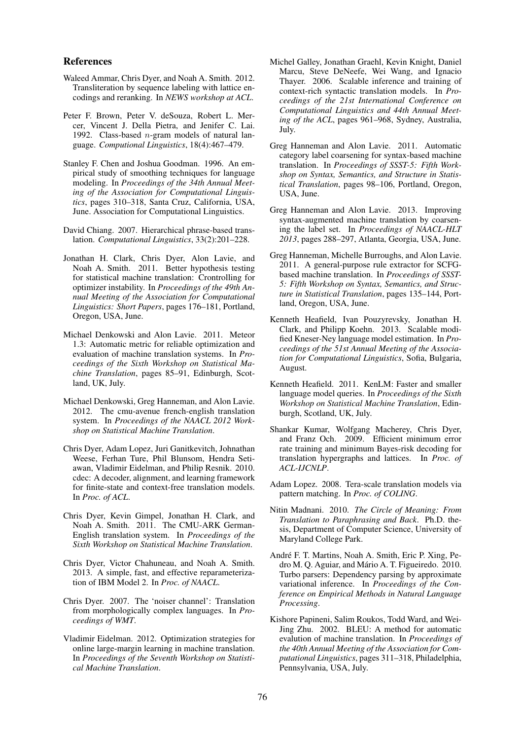#### References

- Waleed Ammar, Chris Dyer, and Noah A. Smith. 2012. Transliteration by sequence labeling with lattice encodings and reranking. In *NEWS workshop at ACL*.
- Peter F. Brown, Peter V. deSouza, Robert L. Mercer, Vincent J. Della Pietra, and Jenifer C. Lai. 1992. Class-based  $n$ -gram models of natural language. *Computional Linguistics*, 18(4):467–479.
- Stanley F. Chen and Joshua Goodman. 1996. An empirical study of smoothing techniques for language modeling. In *Proceedings of the 34th Annual Meeting of the Association for Computational Linguistics*, pages 310–318, Santa Cruz, California, USA, June. Association for Computational Linguistics.
- David Chiang. 2007. Hierarchical phrase-based translation. *Computational Linguistics*, 33(2):201–228.
- Jonathan H. Clark, Chris Dyer, Alon Lavie, and Noah A. Smith. 2011. Better hypothesis testing for statistical machine translation: Crontrolling for optimizer instability. In *Proceedings of the 49th Annual Meeting of the Association for Computational Linguistics: Short Papers*, pages 176–181, Portland, Oregon, USA, June.
- Michael Denkowski and Alon Lavie. 2011. Meteor 1.3: Automatic metric for reliable optimization and evaluation of machine translation systems. In *Proceedings of the Sixth Workshop on Statistical Machine Translation*, pages 85–91, Edinburgh, Scotland, UK, July.
- Michael Denkowski, Greg Hanneman, and Alon Lavie. 2012. The cmu-avenue french-english translation system. In *Proceedings of the NAACL 2012 Workshop on Statistical Machine Translation*.
- Chris Dyer, Adam Lopez, Juri Ganitkevitch, Johnathan Weese, Ferhan Ture, Phil Blunsom, Hendra Setiawan, Vladimir Eidelman, and Philip Resnik. 2010. cdec: A decoder, alignment, and learning framework for finite-state and context-free translation models. In *Proc. of ACL*.
- Chris Dyer, Kevin Gimpel, Jonathan H. Clark, and Noah A. Smith. 2011. The CMU-ARK German-English translation system. In *Proceedings of the Sixth Workshop on Statistical Machine Translation*.
- Chris Dyer, Victor Chahuneau, and Noah A. Smith. 2013. A simple, fast, and effective reparameterization of IBM Model 2. In *Proc. of NAACL*.
- Chris Dyer. 2007. The 'noiser channel': Translation from morphologically complex languages. In *Proceedings of WMT*.
- Vladimir Eidelman. 2012. Optimization strategies for online large-margin learning in machine translation. In *Proceedings of the Seventh Workshop on Statistical Machine Translation*.
- Michel Galley, Jonathan Graehl, Kevin Knight, Daniel Marcu, Steve DeNeefe, Wei Wang, and Ignacio Thayer. 2006. Scalable inference and training of context-rich syntactic translation models. In *Proceedings of the 21st International Conference on Computational Linguistics and 44th Annual Meeting of the ACL*, pages 961–968, Sydney, Australia, July.
- Greg Hanneman and Alon Lavie. 2011. Automatic category label coarsening for syntax-based machine translation. In *Proceedings of SSST-5: Fifth Workshop on Syntax, Semantics, and Structure in Statistical Translation*, pages 98–106, Portland, Oregon, USA, June.
- Greg Hanneman and Alon Lavie. 2013. Improving syntax-augmented machine translation by coarsening the label set. In *Proceedings of NAACL-HLT 2013*, pages 288–297, Atlanta, Georgia, USA, June.
- Greg Hanneman, Michelle Burroughs, and Alon Lavie. 2011. A general-purpose rule extractor for SCFGbased machine translation. In *Proceedings of SSST-5: Fifth Workshop on Syntax, Semantics, and Structure in Statistical Translation*, pages 135–144, Portland, Oregon, USA, June.
- Kenneth Heafield, Ivan Pouzyrevsky, Jonathan H. Clark, and Philipp Koehn. 2013. Scalable modified Kneser-Ney language model estimation. In *Proceedings of the 51st Annual Meeting of the Association for Computational Linguistics*, Sofia, Bulgaria, August.
- Kenneth Heafield. 2011. KenLM: Faster and smaller language model queries. In *Proceedings of the Sixth Workshop on Statistical Machine Translation*, Edinburgh, Scotland, UK, July.
- Shankar Kumar, Wolfgang Macherey, Chris Dyer, and Franz Och. 2009. Efficient minimum error rate training and minimum Bayes-risk decoding for translation hypergraphs and lattices. In *Proc. of ACL-IJCNLP*.
- Adam Lopez. 2008. Tera-scale translation models via pattern matching. In *Proc. of COLING*.
- Nitin Madnani. 2010. *The Circle of Meaning: From Translation to Paraphrasing and Back*. Ph.D. thesis, Department of Computer Science, University of Maryland College Park.
- Andre F. T. Martins, Noah A. Smith, Eric P. Xing, Pe- ´ dro M. O. Aguiar, and Mário A. T. Figueiredo.  $2010$ . Turbo parsers: Dependency parsing by approximate variational inference. In *Proceedings of the Conference on Empirical Methods in Natural Language Processing*.
- Kishore Papineni, Salim Roukos, Todd Ward, and Wei-Jing Zhu. 2002. BLEU: A method for automatic evalution of machine translation. In *Proceedings of the 40th Annual Meeting of the Association for Computational Linguistics*, pages 311–318, Philadelphia, Pennsylvania, USA, July.